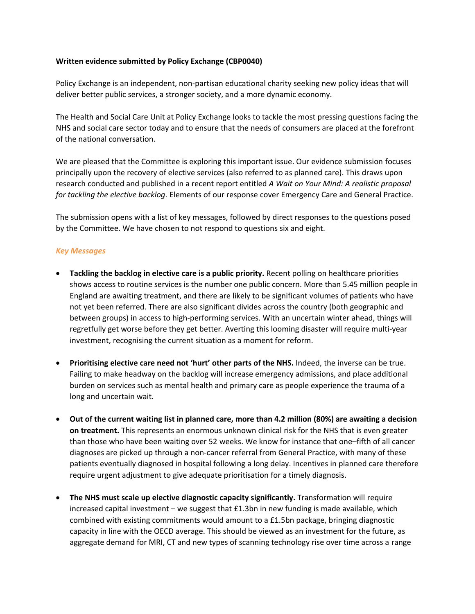## **Written evidence submitted by Policy Exchange (CBP0040)**

Policy Exchange is an independent, non-partisan educational charity seeking new policy ideas that will deliver better public services, a stronger society, and a more dynamic economy.

The Health and Social Care Unit at Policy Exchange looks to tackle the most pressing questions facing the NHS and social care sector today and to ensure that the needs of consumers are placed at the forefront of the national conversation.

We are pleased that the Committee is exploring this important issue. Our evidence submission focuses principally upon the recovery of elective services (also referred to as planned care). This draws upon research conducted and published in a recent report entitled *A Wait on Your Mind: A realistic proposal for tackling the elective backlog*. Elements of our response cover Emergency Care and General Practice.

The submission opens with a list of key messages, followed by direct responses to the questions posed by the Committee. We have chosen to not respond to questions six and eight.

## *Key Messages*

- **Tackling the backlog in elective care is a public priority.** Recent polling on healthcare priorities shows access to routine services is the number one public concern. More than 5.45 million people in England are awaiting treatment, and there are likely to be significant volumes of patients who have not yet been referred. There are also significant divides across the country (both geographic and between groups) in access to high-performing services. With an uncertain winter ahead, things will regretfully get worse before they get better. Averting this looming disaster will require multi-year investment, recognising the current situation as a moment for reform.
- **Prioritising elective care need not 'hurt' other parts of the NHS.** Indeed, the inverse can be true. Failing to make headway on the backlog will increase emergency admissions, and place additional burden on services such as mental health and primary care as people experience the trauma of a long and uncertain wait.
- Out of the current waiting list in planned care, more than 4.2 million (80%) are awaiting a decision **on treatment.** This represents an enormous unknown clinical risk for the NHS that is even greater than those who have been waiting over 52 weeks. We know for instance that one–fifth of all cancer diagnoses are picked up through a non-cancer referral from General Practice, with many of these patients eventually diagnosed in hospital following a long delay. Incentives in planned care therefore require urgent adjustment to give adequate prioritisation for a timely diagnosis.
- **The NHS must scale up elective diagnostic capacity significantly.** Transformation will require increased capital investment – we suggest that  $E1.3$ bn in new funding is made available, which combined with existing commitments would amount to a £1.5bn package, bringing diagnostic capacity in line with the OECD average. This should be viewed as an investment for the future, as aggregate demand for MRI, CT and new types of scanning technology rise over time across a range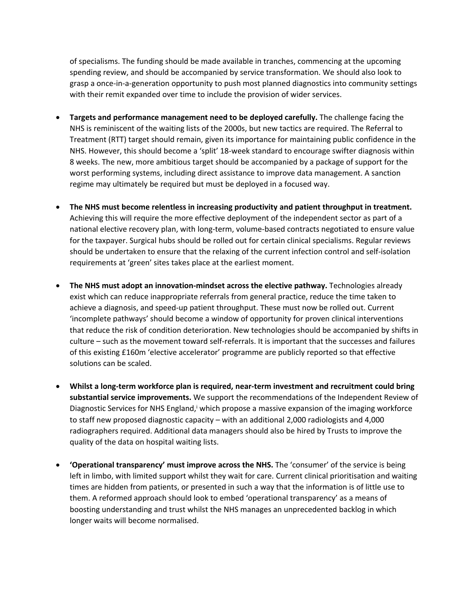of specialisms. The funding should be made available in tranches, commencing at the upcoming spending review, and should be accompanied by service transformation. We should also look to grasp a once-in-a-generation opportunity to push most planned diagnostics into community settings with their remit expanded over time to include the provision of wider services.

- **Targets and performance management need to be deployed carefully.** The challenge facing the NHS is reminiscent of the waiting lists of the 2000s, but new tactics are required. The Referral to Treatment (RTT) target should remain, given its importance for maintaining public confidence in the NHS. However, this should become a 'split' 18-week standard to encourage swifter diagnosis within 8 weeks. The new, more ambitious target should be accompanied by a package of support for the worst performing systems, including direct assistance to improve data management. A sanction regime may ultimately be required but must be deployed in a focused way.
- **The NHS must become relentless in increasing productivity and patient throughput in treatment.** Achieving this will require the more effective deployment of the independent sector as part of a national elective recovery plan, with long-term, volume-based contracts negotiated to ensure value for the taxpayer. Surgical hubs should be rolled out for certain clinical specialisms. Regular reviews should be undertaken to ensure that the relaxing of the current infection control and self-isolation requirements at 'green' sites takes place at the earliest moment.
- **The NHS must adopt an innovation-mindset across the elective pathway.** Technologies already exist which can reduce inappropriate referrals from general practice, reduce the time taken to achieve a diagnosis, and speed-up patient throughput. These must now be rolled out. Current 'incomplete pathways' should become a window of opportunity for proven clinical interventions that reduce the risk of condition deterioration. New technologies should be accompanied by shifts in culture – such as the movement toward self-referrals. It is important that the successes and failures of this existing £160m 'elective accelerator' programme are publicly reported so that effective solutions can be scaled.
- **Whilst a long-term workforce plan is required, near-term investment and recruitment could bring substantial service improvements.** We support the recommendations of the Independent Review of Diagnostic Services for NHS England,<sup>i</sup> which propose a massive expansion of the imaging workforce to staff new proposed diagnostic capacity – with an additional 2,000 radiologists and 4,000 radiographers required. Additional data managers should also be hired by Trusts to improve the quality of the data on hospital waiting lists.
- **'Operational transparency' must improve across the NHS.** The 'consumer' of the service is being left in limbo, with limited support whilst they wait for care. Current clinical prioritisation and waiting times are hidden from patients, or presented in such a way that the information is of little use to them. A reformed approach should look to embed 'operational transparency' as a means of boosting understanding and trust whilst the NHS manages an unprecedented backlog in which longer waits will become normalised.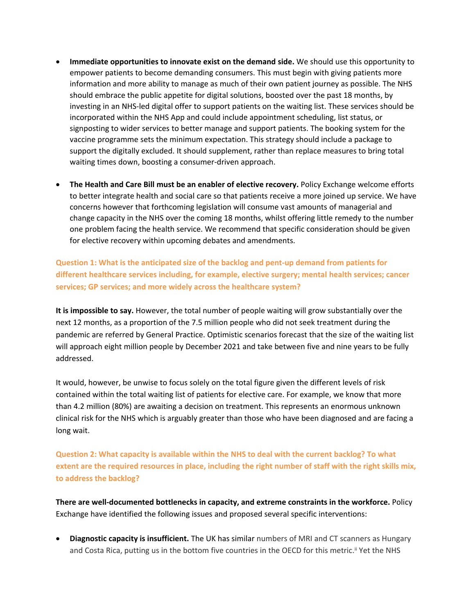- **Immediate opportunities to innovate exist on the demand side.** We should use this opportunity to empower patients to become demanding consumers. This must begin with giving patients more information and more ability to manage as much of their own patient journey as possible. The NHS should embrace the public appetite for digital solutions, boosted over the past 18 months, by investing in an NHS-led digital offer to support patients on the waiting list. These services should be incorporated within the NHS App and could include appointment scheduling, list status, or signposting to wider services to better manage and support patients. The booking system for the vaccine programme sets the minimum expectation. This strategy should include a package to support the digitally excluded. It should supplement, rather than replace measures to bring total waiting times down, boosting a consumer-driven approach.
- **The Health and Care Bill must be an enabler of elective recovery.** Policy Exchange welcome efforts to better integrate health and social care so that patients receive a more joined up service. We have concerns however that forthcoming legislation will consume vast amounts of managerial and change capacity in the NHS over the coming 18 months, whilst offering little remedy to the number one problem facing the health service. We recommend that specific consideration should be given for elective recovery within upcoming debates and amendments.

**Question 1: What is the anticipated size of the backlog and pent-up demand from patients for different healthcare services including, for example, elective surgery; mental health services; cancer services; GP services; and more widely across the healthcare system?**

**It is impossible to say.** However, the total number of people waiting will grow substantially over the next 12 months, as a proportion of the 7.5 million people who did not seek treatment during the pandemic are referred by General Practice. Optimistic scenarios forecast that the size of the waiting list will approach eight million people by December 2021 and take between five and nine years to be fully addressed.

It would, however, be unwise to focus solely on the total figure given the different levels of risk contained within the total waiting list of patients for elective care. For example, we know that more than 4.2 million (80%) are awaiting a decision on treatment. This represents an enormous unknown clinical risk for the NHS which is arguably greater than those who have been diagnosed and are facing a long wait.

**Question 2: What capacity is available within the NHS to deal with the current backlog? To what** extent are the required resources in place, including the right number of staff with the right skills mix, **to address the backlog?**

**There are well-documented bottlenecks in capacity, and extreme constraints in the workforce.** Policy Exchange have identified the following issues and proposed several specific interventions:

 **Diagnostic capacity is insufficient.** The UK has similar numbers of MRI and CT scanners as Hungary and Costa Rica, putting us in the bottom five countries in the OECD for this metric.<sup>ii</sup> Yet the NHS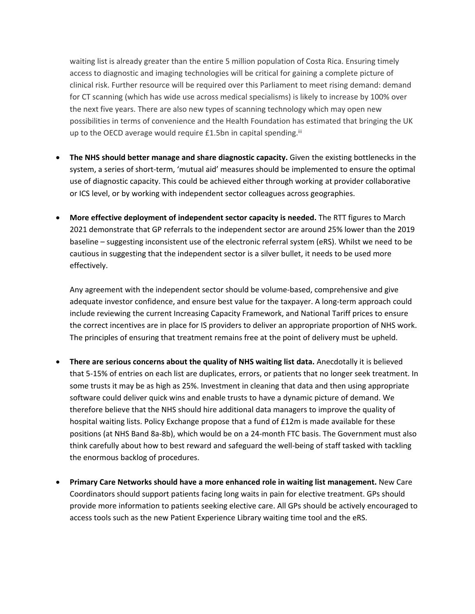waiting list is already greater than the entire 5 million population of Costa Rica. Ensuring timely access to diagnostic and imaging technologies will be critical for gaining a complete picture of clinical risk. Further resource will be required over this Parliament to meet rising demand: demand for CT scanning (which has wide use across medical specialisms) is likely to increase by 100% over the next five years. There are also new types of scanning technology which may open new possibilities in terms of convenience and the Health Foundation has estimated that bringing the UK up to the OECD average would require  $£1.5$ bn in capital spending. $iii$ 

- **The NHS should better manage and share diagnostic capacity.** Given the existing bottlenecks in the system, a series of short-term, 'mutual aid' measures should be implemented to ensure the optimal use of diagnostic capacity. This could be achieved either through working at provider collaborative or ICS level, or by working with independent sector colleagues across geographies.
- **More effective deployment of independent sector capacity is needed.** The RTT figures to March 2021 demonstrate that GP referrals to the independent sector are around 25% lower than the 2019 baseline – suggesting inconsistent use of the electronic referral system (eRS). Whilst we need to be cautious in suggesting that the independent sector is a silver bullet, it needs to be used more effectively.

Any agreement with the independent sector should be volume-based, comprehensive and give adequate investor confidence, and ensure best value for the taxpayer. A long-term approach could include reviewing the current Increasing Capacity Framework, and National Tariff prices to ensure the correct incentives are in place for IS providers to deliver an appropriate proportion of NHS work. The principles of ensuring that treatment remains free at the point of delivery must be upheld.

- **There are serious concerns about the quality of NHS waiting list data.** Anecdotally it is believed that 5-15% of entries on each list are duplicates, errors, or patients that no longer seek treatment. In some trusts it may be as high as 25%. Investment in cleaning that data and then using appropriate software could deliver quick wins and enable trusts to have a dynamic picture of demand. We therefore believe that the NHS should hire additional data managers to improve the quality of hospital waiting lists. Policy Exchange propose that a fund of £12m is made available for these positions (at NHS Band 8a-8b), which would be on a 24-month FTC basis. The Government must also think carefully about how to best reward and safeguard the well-being of staff tasked with tackling the enormous backlog of procedures.
- **Primary Care Networks should have a more enhanced role in waiting list management.** New Care Coordinators should support patients facing long waits in pain for elective treatment. GPs should provide more information to patients seeking elective care. All GPs should be actively encouraged to access tools such as the new Patient Experience Library waiting time tool and the eRS.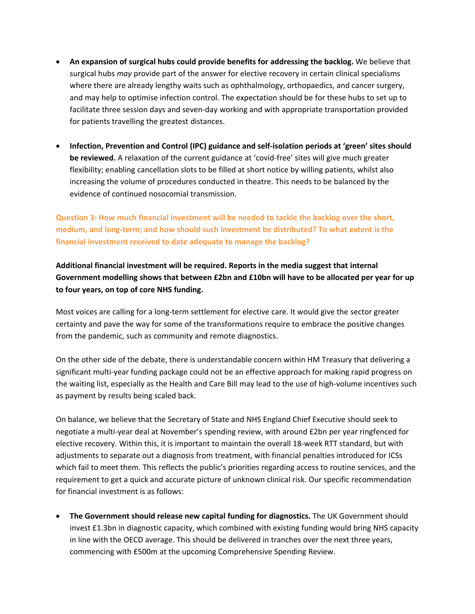- **An expansion of surgical hubs could provide benefits for addressing the backlog.** We believe that surgical hubs *may* provide part of the answer for elective recovery in certain clinical specialisms where there are already lengthy waits such as ophthalmology, orthopaedics, and cancer surgery, and may help to optimise infection control. The expectation should be for these hubs to set up to facilitate three session days and seven-day working and with appropriate transportation provided for patients travelling the greatest distances.
- **Infection, Prevention and Control (IPC) guidance and self-isolation periods at 'green' sites should be reviewed.** A relaxation of the current guidance at 'covid-free' sites will give much greater flexibility; enabling cancellation slots to be filled at short notice by willing patients, whilst also increasing the volume of procedures conducted in theatre. This needs to be balanced by the evidence of continued nosocomial transmission.

**Question 3: How much financial investment will be needed to tackle the backlog over the short, medium, and long-term; and how should such investment be distributed? To what extent is the financial investment received to date adequate to manage the backlog?**

**Additional financial investment will be required. Reports in the media suggest that internal Government modelling shows that between £2bn and £10bn will have to be allocated per year for up to four years, on top of core NHS funding.**

Most voices are calling for a long-term settlement for elective care. It would give the sector greater certainty and pave the way for some of the transformations require to embrace the positive changes from the pandemic, such as community and remote diagnostics.

On the other side of the debate, there is understandable concern within HM Treasury that delivering a significant multi-year funding package could not be an effective approach for making rapid progress on the waiting list, especially as the Health and Care Bill may lead to the use of high-volume incentives such as payment by results being scaled back.

On balance, we believe that the Secretary of State and NHS England Chief Executive should seek to negotiate a multi-year deal at November's spending review, with around £2bn per year ringfenced for elective recovery. Within this, it is important to maintain the overall 18-week RTT standard, but with adjustments to separate out a diagnosis from treatment, with financial penalties introduced for ICSs which fail to meet them. This reflects the public's priorities regarding access to routine services, and the requirement to get a quick and accurate picture of unknown clinical risk. Our specific recommendation for financial investment is as follows:

 **The Government should release new capital funding for diagnostics.** The UK Government should invest £1.3bn in diagnostic capacity, which combined with existing funding would bring NHS capacity in line with the OECD average. This should be delivered in tranches over the next three years, commencing with £500m at the upcoming Comprehensive Spending Review.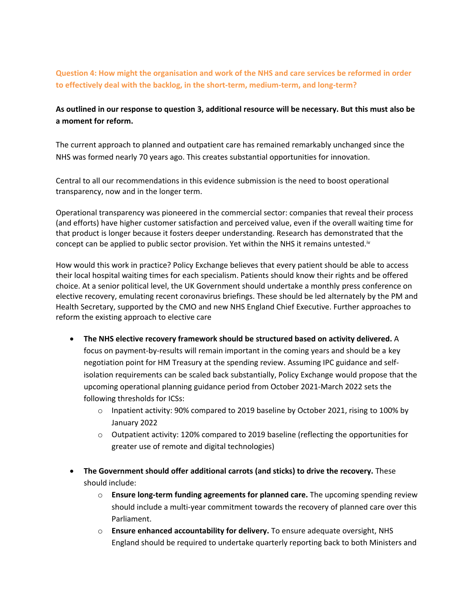**Question 4: How might the organisation and work of the NHS and care services be reformed in order to effectively deal with the backlog, in the short-term, medium-term, and long-term?**

## As outlined in our response to question 3, additional resource will be necessary. But this must also be **a moment for reform.**

The current approach to planned and outpatient care has remained remarkably unchanged since the NHS was formed nearly 70 years ago. This creates substantial opportunities for innovation.

Central to all our recommendations in this evidence submission is the need to boost operational transparency, now and in the longer term.

Operational transparency was pioneered in the commercial sector: companies that reveal their process (and efforts) have higher customer satisfaction and perceived value, even if the overall waiting time for that product is longer because it fosters deeper understanding. Research has demonstrated that the concept can be applied to public sector provision. Yet within the NHS it remains untested.<sup>iv</sup>

How would this work in practice? Policy Exchange believes that every patient should be able to access their local hospital waiting times for each specialism. Patients should know their rights and be offered choice. At a senior political level, the UK Government should undertake a monthly press conference on elective recovery, emulating recent coronavirus briefings. These should be led alternately by the PM and Health Secretary, supported by the CMO and new NHS England Chief Executive. Further approaches to reform the existing approach to elective care

- **The NHS elective recovery framework should be structured based on activity delivered.** A focus on payment-by-results will remain important in the coming years and should be a key negotiation point for HM Treasury at the spending review. Assuming IPC guidance and selfisolation requirements can be scaled back substantially, Policy Exchange would propose that the upcoming operational planning guidance period from October 2021-March 2022 sets the following thresholds for ICSs:
	- $\circ$  Inpatient activity: 90% compared to 2019 baseline by October 2021, rising to 100% by January 2022
	- o Outpatient activity: 120% compared to 2019 baseline (reflecting the opportunities for greater use of remote and digital technologies)
- **The Government should offer additional carrots (and sticks) to drive the recovery.** These should include:
	- o **Ensure long-term funding agreements for planned care.** The upcoming spending review should include a multi-year commitment towards the recovery of planned care over this Parliament.
	- o **Ensure enhanced accountability for delivery.** To ensure adequate oversight, NHS England should be required to undertake quarterly reporting back to both Ministers and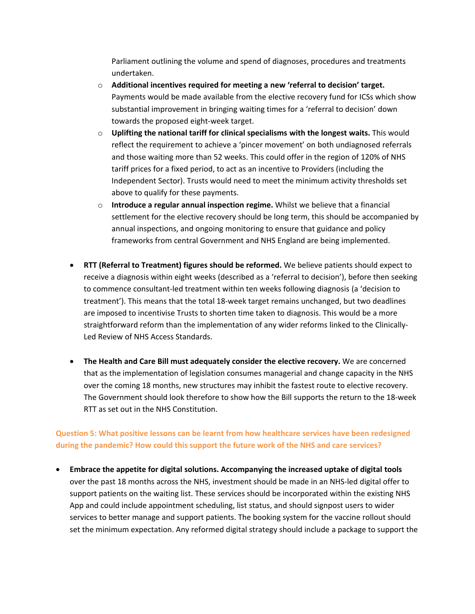Parliament outlining the volume and spend of diagnoses, procedures and treatments undertaken.

- o **Additional incentives required for meeting a new 'referral to decision' target.** Payments would be made available from the elective recovery fund for ICSs which show substantial improvement in bringing waiting times for a 'referral to decision' down towards the proposed eight-week target.
- o **Uplifting the national tariff for clinical specialisms with the longest waits.** This would reflect the requirement to achieve a 'pincer movement' on both undiagnosed referrals and those waiting more than 52 weeks. This could offer in the region of 120% of NHS tariff prices for a fixed period, to act as an incentive to Providers (including the Independent Sector). Trusts would need to meet the minimum activity thresholds set above to qualify for these payments.
- o **Introduce a regular annual inspection regime.** Whilst we believe that a financial settlement for the elective recovery should be long term, this should be accompanied by annual inspections, and ongoing monitoring to ensure that guidance and policy frameworks from central Government and NHS England are being implemented.
- **RTT (Referral to Treatment) figures should be reformed.** We believe patients should expect to receive a diagnosis within eight weeks (described as a 'referral to decision'), before then seeking to commence consultant-led treatment within ten weeks following diagnosis (a 'decision to treatment'). This means that the total 18-week target remains unchanged, but two deadlines are imposed to incentivise Trusts to shorten time taken to diagnosis. This would be a more straightforward reform than the implementation of any wider reforms linked to the Clinically-Led Review of NHS Access Standards.
- **The Health and Care Bill must adequately consider the elective recovery.** We are concerned that as the implementation of legislation consumes managerial and change capacity in the NHS over the coming 18 months, new structures may inhibit the fastest route to elective recovery. The Government should look therefore to show how the Bill supports the return to the 18-week RTT as set out in the NHS Constitution.

## **Question 5: What positive lessons can be learnt from how healthcare services have been redesigned during the pandemic? How could this support the future work of the NHS and care services?**

 **Embrace the appetite for digital solutions. Accompanying the increased uptake of digital tools** over the past 18 months across the NHS, investment should be made in an NHS-led digital offer to support patients on the waiting list. These services should be incorporated within the existing NHS App and could include appointment scheduling, list status, and should signpost users to wider services to better manage and support patients. The booking system for the vaccine rollout should set the minimum expectation. Any reformed digital strategy should include a package to support the